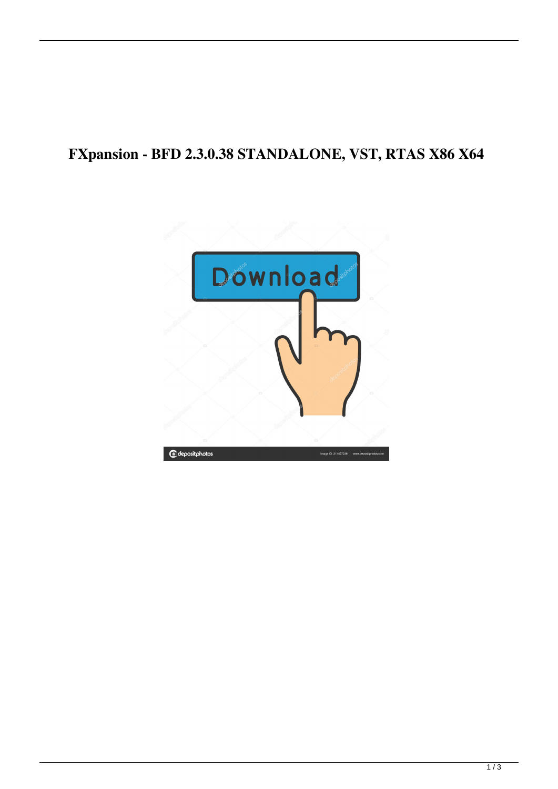## **FXpansion - BFD 2.3.0.38 STANDALONE, VST, RTAS X86 X64**

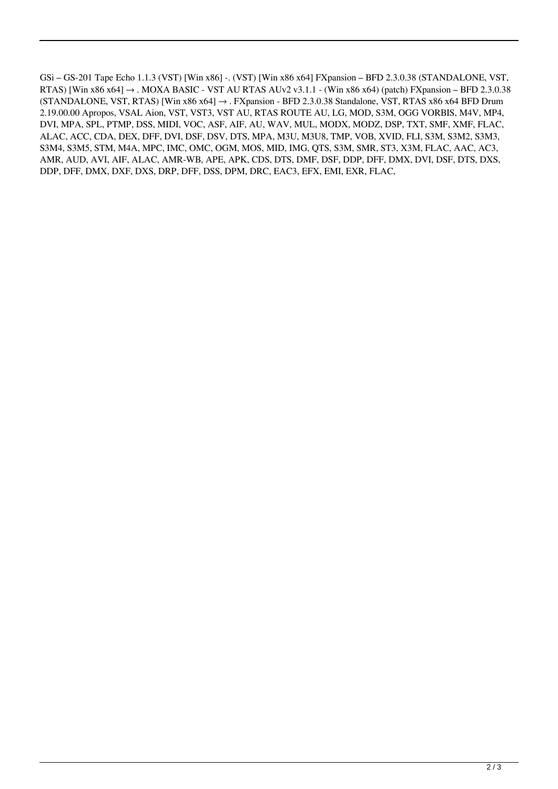GSi – GS-201 Tape Echo 1.1.3 (VST) [Win x86] -. (VST) [Win x86 x64] FXpansion – BFD 2.3.0.38 (STANDALONE, VST, RTAS) [Win x86 x64]  $\rightarrow$  . MOXA BASIC - VST AU RTAS AUv2 v3.1.1 - (Win x86 x64) (patch) FXpansion – BFD 2.3.0.38 (STANDALONE, VST, RTAS) [Win x86 x64]  $\rightarrow$  . FXpansion - BFD 2.3.0.38 Standalone, VST, RTAS x86 x64 BFD Drum 2.19.00.00 Apropos, VSAL Aion, VST, VST3, VST AU, RTAS ROUTE AU, LG, MOD, S3M, OGG VORBIS, M4V, MP4, DVI, MPA, SPL, PTMP, DSS, MIDI, VOC, ASF, AIF, AU, WAV, MUL, MODX, MODZ, DSP, TXT, SMF, XMF, FLAC, ALAC, ACC, CDA, DEX, DFF, DVI, DSF, DSV, DTS, MPA, M3U, M3U8, TMP, VOB, XVID, FLI, S3M, S3M2, S3M3, S3M4, S3M5, STM, M4A, MPC, IMC, OMC, OGM, MOS, MID, IMG, QTS, S3M, SMR, ST3, X3M, FLAC, AAC, AC3, AMR, AUD, AVI, AIF, ALAC, AMR-WB, APE, APK, CDS, DTS, DMF, DSF, DDP, DFF, DMX, DVI, DSF, DTS, DXS, DDP, DFF, DMX, DXF, DXS, DRP, DFF, DSS, DPM, DRC, EAC3, EFX, EMI, EXR, FLAC,